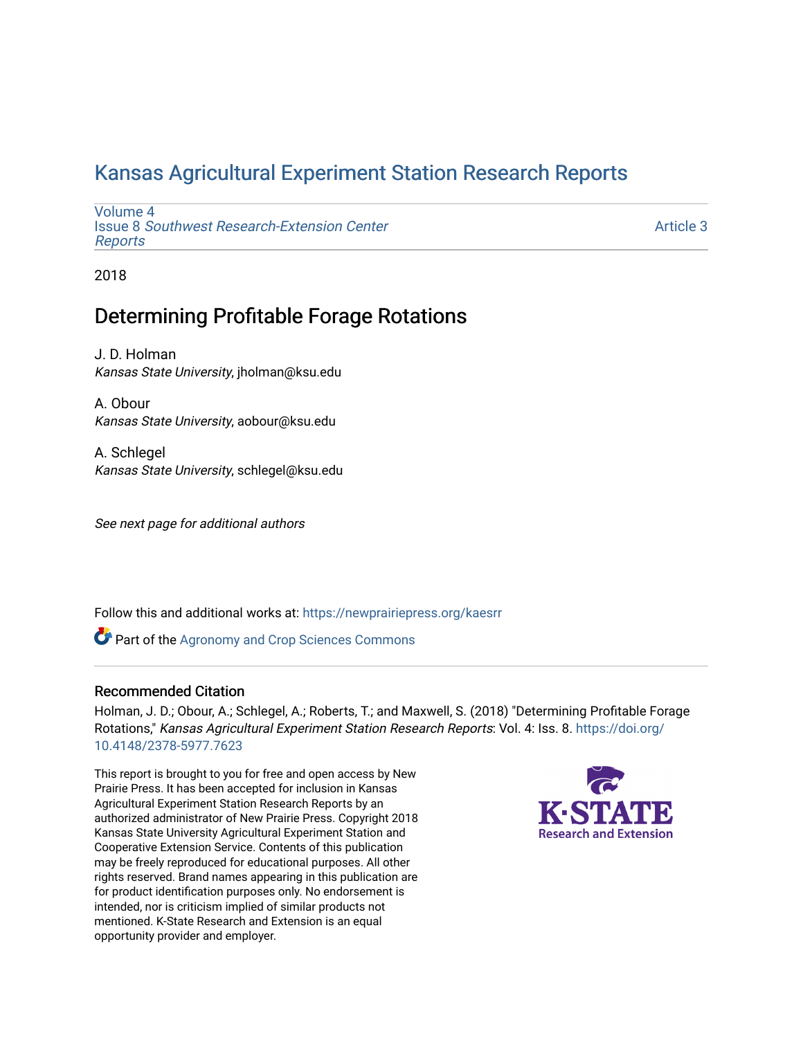## [Kansas Agricultural Experiment Station Research Reports](https://newprairiepress.org/kaesrr)

[Volume 4](https://newprairiepress.org/kaesrr/vol4) Issue 8 [Southwest Research-Extension Center](https://newprairiepress.org/kaesrr/vol4/iss8)  [Reports](https://newprairiepress.org/kaesrr/vol4/iss8)

[Article 3](https://newprairiepress.org/kaesrr/vol4/iss8/3) 

2018

## Determining Profitable Forage Rotations

J. D. Holman Kansas State University, jholman@ksu.edu

A. Obour Kansas State University, aobour@ksu.edu

A. Schlegel Kansas State University, schlegel@ksu.edu

See next page for additional authors

Follow this and additional works at: [https://newprairiepress.org/kaesrr](https://newprairiepress.org/kaesrr?utm_source=newprairiepress.org%2Fkaesrr%2Fvol4%2Fiss8%2F3&utm_medium=PDF&utm_campaign=PDFCoverPages) 

**Part of the Agronomy and Crop Sciences Commons** 

#### Recommended Citation

Holman, J. D.; Obour, A.; Schlegel, A.; Roberts, T.; and Maxwell, S. (2018) "Determining Profitable Forage Rotations," Kansas Agricultural Experiment Station Research Reports: Vol. 4: Iss. 8. [https://doi.org/](https://doi.org/10.4148/2378-5977.7623) [10.4148/2378-5977.7623](https://doi.org/10.4148/2378-5977.7623)

This report is brought to you for free and open access by New Prairie Press. It has been accepted for inclusion in Kansas Agricultural Experiment Station Research Reports by an authorized administrator of New Prairie Press. Copyright 2018 Kansas State University Agricultural Experiment Station and Cooperative Extension Service. Contents of this publication may be freely reproduced for educational purposes. All other rights reserved. Brand names appearing in this publication are for product identification purposes only. No endorsement is intended, nor is criticism implied of similar products not mentioned. K-State Research and Extension is an equal opportunity provider and employer.

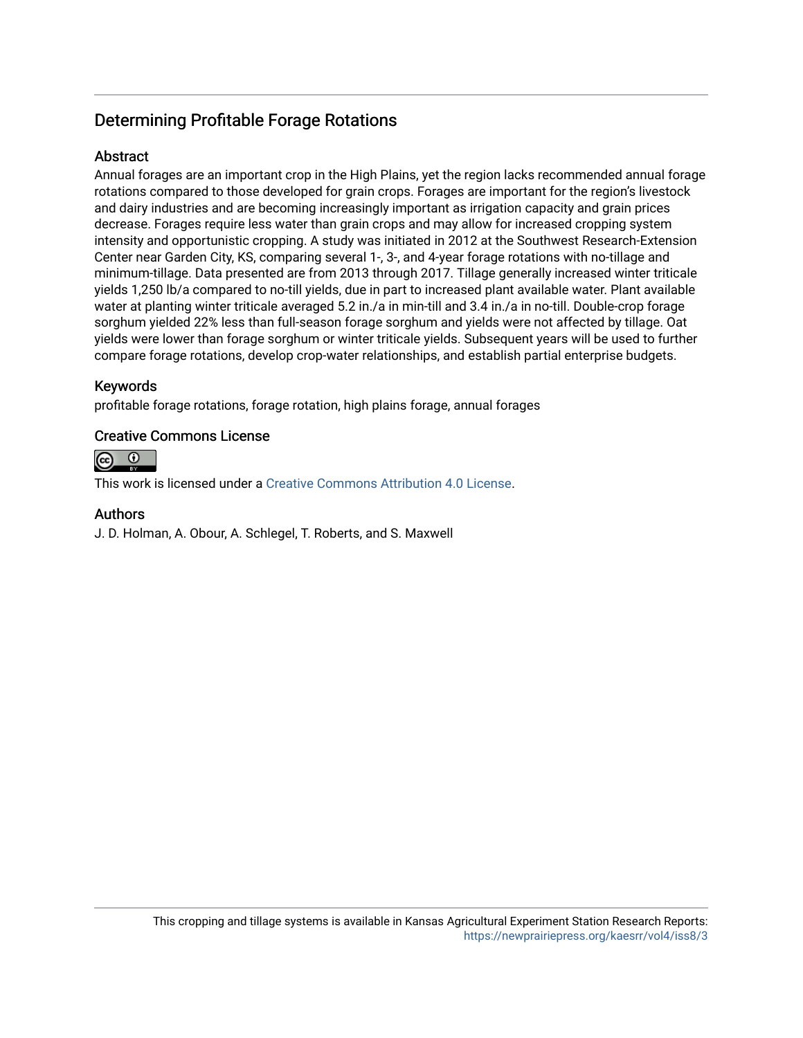## Determining Profitable Forage Rotations

#### Abstract

Annual forages are an important crop in the High Plains, yet the region lacks recommended annual forage rotations compared to those developed for grain crops. Forages are important for the region's livestock and dairy industries and are becoming increasingly important as irrigation capacity and grain prices decrease. Forages require less water than grain crops and may allow for increased cropping system intensity and opportunistic cropping. A study was initiated in 2012 at the Southwest Research-Extension Center near Garden City, KS, comparing several 1-, 3-, and 4-year forage rotations with no-tillage and minimum-tillage. Data presented are from 2013 through 2017. Tillage generally increased winter triticale yields 1,250 lb/a compared to no-till yields, due in part to increased plant available water. Plant available water at planting winter triticale averaged 5.2 in./a in min-till and 3.4 in./a in no-till. Double-crop forage sorghum yielded 22% less than full-season forage sorghum and yields were not affected by tillage. Oat yields were lower than forage sorghum or winter triticale yields. Subsequent years will be used to further compare forage rotations, develop crop-water relationships, and establish partial enterprise budgets.

#### Keywords

profitable forage rotations, forage rotation, high plains forage, annual forages

#### Creative Commons License



This work is licensed under a [Creative Commons Attribution 4.0 License](https://creativecommons.org/licenses/by/4.0/).

#### Authors

J. D. Holman, A. Obour, A. Schlegel, T. Roberts, and S. Maxwell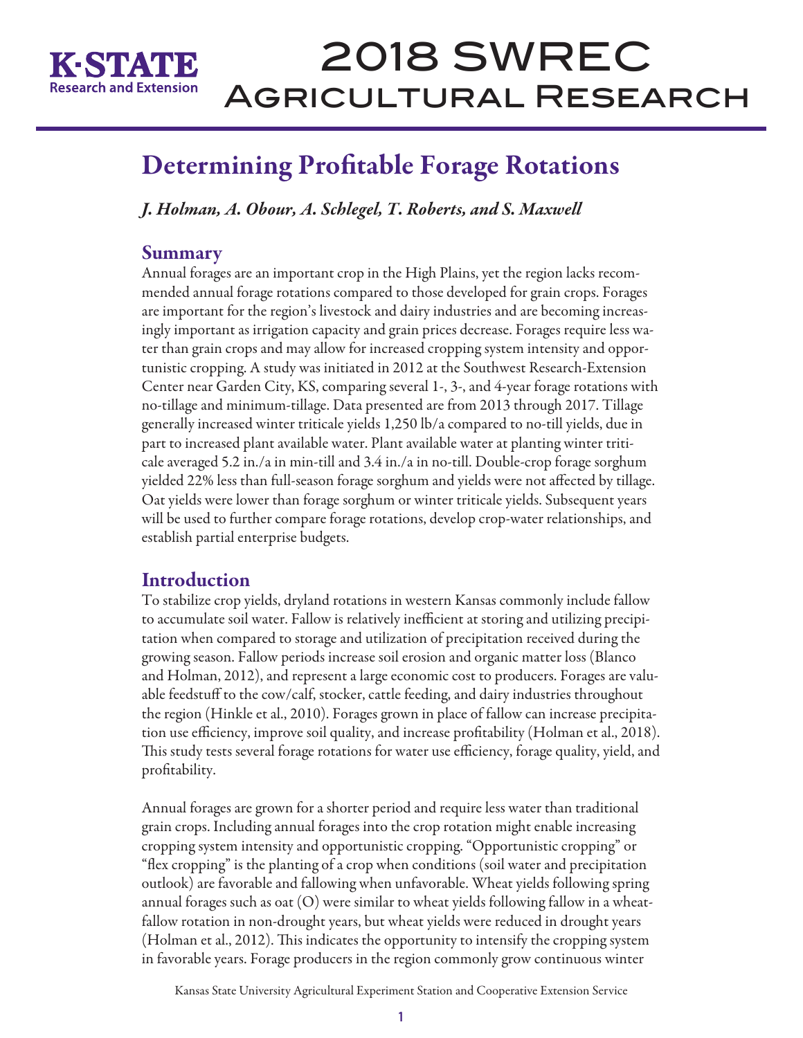

# 2018 SWREC Agricultural Research

## Determining Profitable Forage Rotations

*J. Holman, A. Obour, A. Schlegel, T. Roberts, and S. Maxwell* 

## **Summary**

Annual forages are an important crop in the High Plains, yet the region lacks recommended annual forage rotations compared to those developed for grain crops. Forages are important for the region's livestock and dairy industries and are becoming increasingly important as irrigation capacity and grain prices decrease. Forages require less water than grain crops and may allow for increased cropping system intensity and opportunistic cropping. A study was initiated in 2012 at the Southwest Research-Extension Center near Garden City, KS, comparing several 1-, 3-, and 4-year forage rotations with no-tillage and minimum-tillage. Data presented are from 2013 through 2017. Tillage generally increased winter triticale yields 1,250 lb/a compared to no-till yields, due in part to increased plant available water. Plant available water at planting winter triticale averaged 5.2 in./a in min-till and 3.4 in./a in no-till. Double-crop forage sorghum yielded 22% less than full-season forage sorghum and yields were not affected by tillage. Oat yields were lower than forage sorghum or winter triticale yields. Subsequent years will be used to further compare forage rotations, develop crop-water relationships, and establish partial enterprise budgets.

## Introduction

To stabilize crop yields, dryland rotations in western Kansas commonly include fallow to accumulate soil water. Fallow is relatively inefficient at storing and utilizing precipitation when compared to storage and utilization of precipitation received during the growing season. Fallow periods increase soil erosion and organic matter loss (Blanco and Holman, 2012), and represent a large economic cost to producers. Forages are valuable feedstuff to the cow/calf, stocker, cattle feeding, and dairy industries throughout the region (Hinkle et al., 2010). Forages grown in place of fallow can increase precipitation use efficiency, improve soil quality, and increase profitability (Holman et al., 2018). This study tests several forage rotations for water use efficiency, forage quality, yield, and profitability.

Annual forages are grown for a shorter period and require less water than traditional grain crops. Including annual forages into the crop rotation might enable increasing cropping system intensity and opportunistic cropping. "Opportunistic cropping" or "flex cropping" is the planting of a crop when conditions (soil water and precipitation outlook) are favorable and fallowing when unfavorable. Wheat yields following spring annual forages such as oat (O) were similar to wheat yields following fallow in a wheatfallow rotation in non-drought years, but wheat yields were reduced in drought years (Holman et al., 2012). This indicates the opportunity to intensify the cropping system in favorable years. Forage producers in the region commonly grow continuous winter

Kansas State University Agricultural Experiment Station and Cooperative Extension Service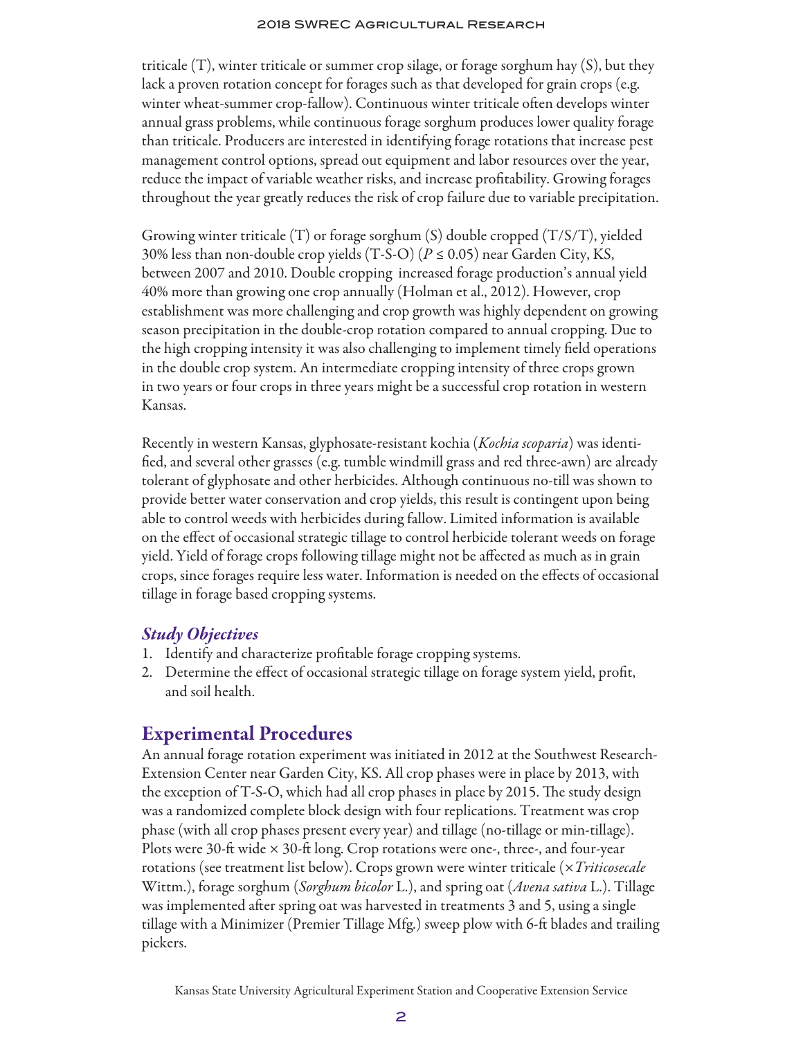#### 2018 SWREC Agricultural Research

triticale (T), winter triticale or summer crop silage, or forage sorghum hay (S), but they lack a proven rotation concept for forages such as that developed for grain crops (e.g. winter wheat-summer crop-fallow). Continuous winter triticale often develops winter annual grass problems, while continuous forage sorghum produces lower quality forage than triticale. Producers are interested in identifying forage rotations that increase pest management control options, spread out equipment and labor resources over the year, reduce the impact of variable weather risks, and increase profitability. Growing forages throughout the year greatly reduces the risk of crop failure due to variable precipitation.

Growing winter triticale (T) or forage sorghum (S) double cropped (T/S/T), yielded 30% less than non-double crop yields (T-S-O) (*P* ≤ 0.05) near Garden City, KS, between 2007 and 2010. Double cropping increased forage production's annual yield 40% more than growing one crop annually (Holman et al., 2012). However, crop establishment was more challenging and crop growth was highly dependent on growing season precipitation in the double-crop rotation compared to annual cropping. Due to the high cropping intensity it was also challenging to implement timely field operations in the double crop system. An intermediate cropping intensity of three crops grown in two years or four crops in three years might be a successful crop rotation in western Kansas.

Recently in western Kansas, glyphosate-resistant kochia (*Kochia scoparia*) was identified, and several other grasses (e.g. tumble windmill grass and red three-awn) are already tolerant of glyphosate and other herbicides. Although continuous no-till was shown to provide better water conservation and crop yields, this result is contingent upon being able to control weeds with herbicides during fallow. Limited information is available on the effect of occasional strategic tillage to control herbicide tolerant weeds on forage yield. Yield of forage crops following tillage might not be affected as much as in grain crops, since forages require less water. Information is needed on the effects of occasional tillage in forage based cropping systems.

#### *Study Objectives*

- 1. Identify and characterize profitable forage cropping systems.
- 2. Determine the effect of occasional strategic tillage on forage system yield, profit, and soil health.

## Experimental Procedures

An annual forage rotation experiment was initiated in 2012 at the Southwest Research-Extension Center near Garden City, KS. All crop phases were in place by 2013, with the exception of T-S-O, which had all crop phases in place by 2015. The study design was a randomized complete block design with four replications. Treatment was crop phase (with all crop phases present every year) and tillage (no-tillage or min-tillage). Plots were 30-ft wide  $\times$  30-ft long. Crop rotations were one-, three-, and four-year rotations (see treatment list below). Crops grown were winter triticale (×*Triticosecale* Wittm.), forage sorghum (*Sorghum bicolor* L.), and spring oat (*Avena sativa* L.). Tillage was implemented after spring oat was harvested in treatments 3 and 5, using a single tillage with a Minimizer (Premier Tillage Mfg.) sweep plow with 6-ft blades and trailing pickers.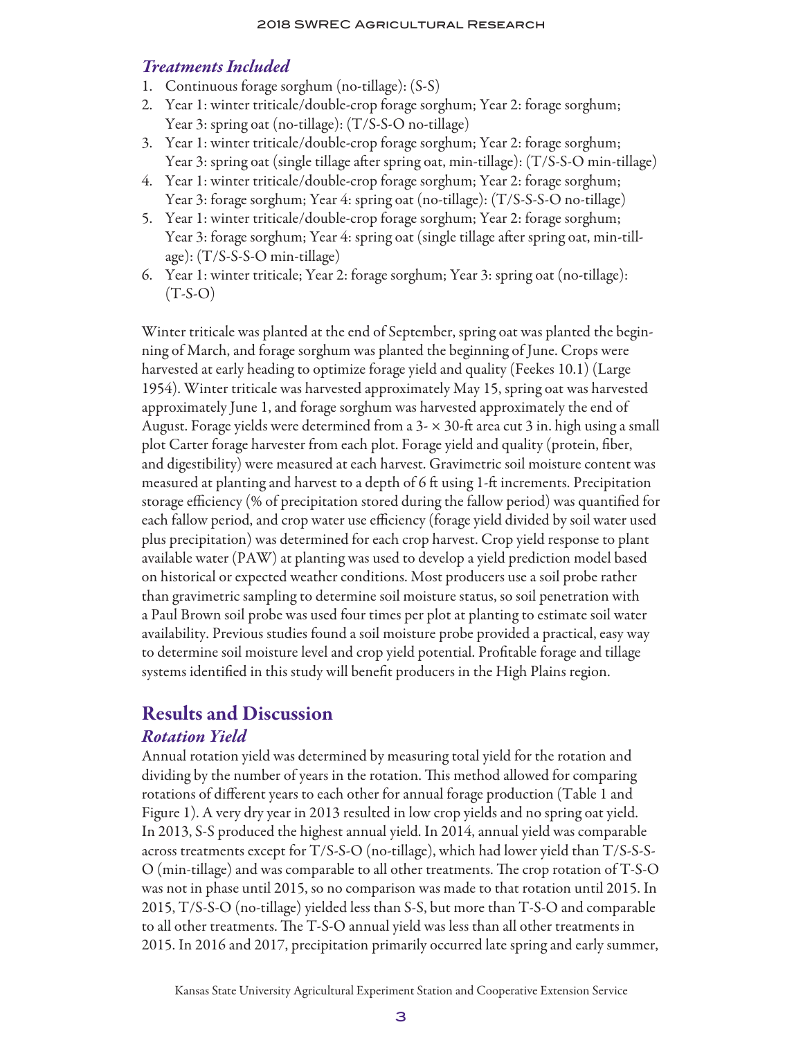#### *Treatments Included*

- 1. Continuous forage sorghum (no-tillage): (S-S)
- 2. Year 1: winter triticale/double-crop forage sorghum; Year 2: forage sorghum; Year 3: spring oat (no-tillage): (T/S-S-O no-tillage)
- 3. Year 1: winter triticale/double-crop forage sorghum; Year 2: forage sorghum; Year 3: spring oat (single tillage after spring oat, min-tillage): (T/S-S-O min-tillage)
- 4. Year 1: winter triticale/double-crop forage sorghum; Year 2: forage sorghum; Year 3: forage sorghum; Year 4: spring oat (no-tillage): (T/S-S-S-O no-tillage)
- 5. Year 1: winter triticale/double-crop forage sorghum; Year 2: forage sorghum; Year 3: forage sorghum; Year 4: spring oat (single tillage after spring oat, min-tillage): (T/S-S-S-O min-tillage)
- 6. Year 1: winter triticale; Year 2: forage sorghum; Year 3: spring oat (no-tillage):  $(T-S-O)$

Winter triticale was planted at the end of September, spring oat was planted the beginning of March, and forage sorghum was planted the beginning of June. Crops were harvested at early heading to optimize forage yield and quality (Feekes 10.1) (Large 1954). Winter triticale was harvested approximately May 15, spring oat was harvested approximately June 1, and forage sorghum was harvested approximately the end of August. Forage yields were determined from a 3- × 30-ft area cut 3 in. high using a small plot Carter forage harvester from each plot. Forage yield and quality (protein, fiber, and digestibility) were measured at each harvest. Gravimetric soil moisture content was measured at planting and harvest to a depth of  $6$  ft using 1-ft increments. Precipitation storage efficiency (% of precipitation stored during the fallow period) was quantified for each fallow period, and crop water use efficiency (forage yield divided by soil water used plus precipitation) was determined for each crop harvest. Crop yield response to plant available water (PAW) at planting was used to develop a yield prediction model based on historical or expected weather conditions. Most producers use a soil probe rather than gravimetric sampling to determine soil moisture status, so soil penetration with a Paul Brown soil probe was used four times per plot at planting to estimate soil water availability. Previous studies found a soil moisture probe provided a practical, easy way to determine soil moisture level and crop yield potential. Profitable forage and tillage systems identified in this study will benefit producers in the High Plains region.

## Results and Discussion

## *Rotation Yield*

Annual rotation yield was determined by measuring total yield for the rotation and dividing by the number of years in the rotation. This method allowed for comparing rotations of different years to each other for annual forage production (Table 1 and Figure 1). A very dry year in 2013 resulted in low crop yields and no spring oat yield. In 2013, S-S produced the highest annual yield. In 2014, annual yield was comparable across treatments except for T/S-S-O (no-tillage), which had lower yield than T/S-S-S-O (min-tillage) and was comparable to all other treatments. The crop rotation of T-S-O was not in phase until 2015, so no comparison was made to that rotation until 2015. In 2015, T/S-S-O (no-tillage) yielded less than S-S, but more than T-S-O and comparable to all other treatments. The T-S-O annual yield was less than all other treatments in 2015. In 2016 and 2017, precipitation primarily occurred late spring and early summer,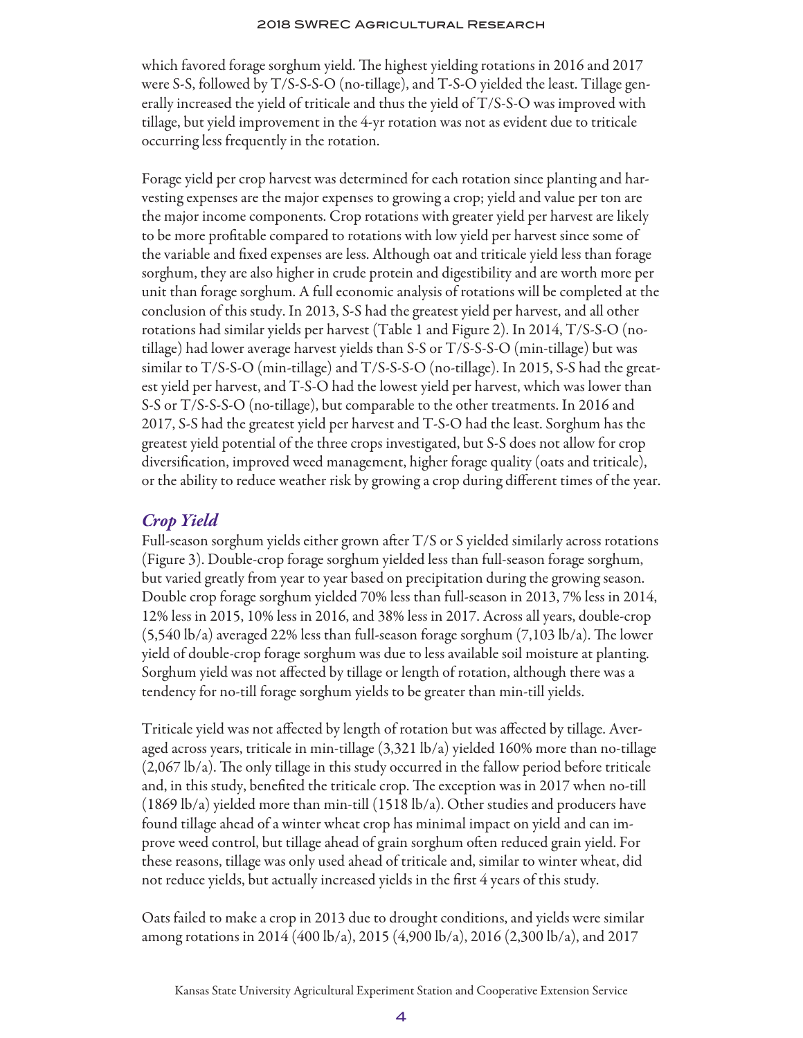which favored forage sorghum yield. The highest yielding rotations in 2016 and 2017 were S-S, followed by T/S-S-S-O (no-tillage), and T-S-O yielded the least. Tillage generally increased the yield of triticale and thus the yield of T/S-S-O was improved with tillage, but yield improvement in the 4-yr rotation was not as evident due to triticale occurring less frequently in the rotation.

Forage yield per crop harvest was determined for each rotation since planting and harvesting expenses are the major expenses to growing a crop; yield and value per ton are the major income components. Crop rotations with greater yield per harvest are likely to be more profitable compared to rotations with low yield per harvest since some of the variable and fixed expenses are less. Although oat and triticale yield less than forage sorghum, they are also higher in crude protein and digestibility and are worth more per unit than forage sorghum. A full economic analysis of rotations will be completed at the conclusion of this study. In 2013, S-S had the greatest yield per harvest, and all other rotations had similar yields per harvest (Table 1 and Figure 2). In 2014, T/S-S-O (notillage) had lower average harvest yields than S-S or T/S-S-S-O (min-tillage) but was similar to T/S-S-O (min-tillage) and T/S-S-S-O (no-tillage). In 2015, S-S had the greatest yield per harvest, and T-S-O had the lowest yield per harvest, which was lower than S-S or T/S-S-S-O (no-tillage), but comparable to the other treatments. In 2016 and 2017, S-S had the greatest yield per harvest and T-S-O had the least. Sorghum has the greatest yield potential of the three crops investigated, but S-S does not allow for crop diversification, improved weed management, higher forage quality (oats and triticale), or the ability to reduce weather risk by growing a crop during different times of the year.

## *Crop Yield*

Full-season sorghum yields either grown after  $T/S$  or S yielded similarly across rotations (Figure 3). Double-crop forage sorghum yielded less than full-season forage sorghum, but varied greatly from year to year based on precipitation during the growing season. Double crop forage sorghum yielded 70% less than full-season in 2013, 7% less in 2014, 12% less in 2015, 10% less in 2016, and 38% less in 2017. Across all years, double-crop  $(5,540 \text{ lb/a})$  averaged 22% less than full-season forage sorghum  $(7,103 \text{ lb/a})$ . The lower yield of double-crop forage sorghum was due to less available soil moisture at planting. Sorghum yield was not affected by tillage or length of rotation, although there was a tendency for no-till forage sorghum yields to be greater than min-till yields.

Triticale yield was not affected by length of rotation but was affected by tillage. Averaged across years, triticale in min-tillage (3,321 lb/a) yielded 160% more than no-tillage (2,067 lb/a). The only tillage in this study occurred in the fallow period before triticale and, in this study, benefited the triticale crop. The exception was in 2017 when no-till (1869 lb/a) yielded more than min-till (1518 lb/a). Other studies and producers have found tillage ahead of a winter wheat crop has minimal impact on yield and can improve weed control, but tillage ahead of grain sorghum often reduced grain yield. For these reasons, tillage was only used ahead of triticale and, similar to winter wheat, did not reduce yields, but actually increased yields in the first 4 years of this study.

Oats failed to make a crop in 2013 due to drought conditions, and yields were similar among rotations in 2014 (400 lb/a), 2015 (4,900 lb/a), 2016 (2,300 lb/a), and 2017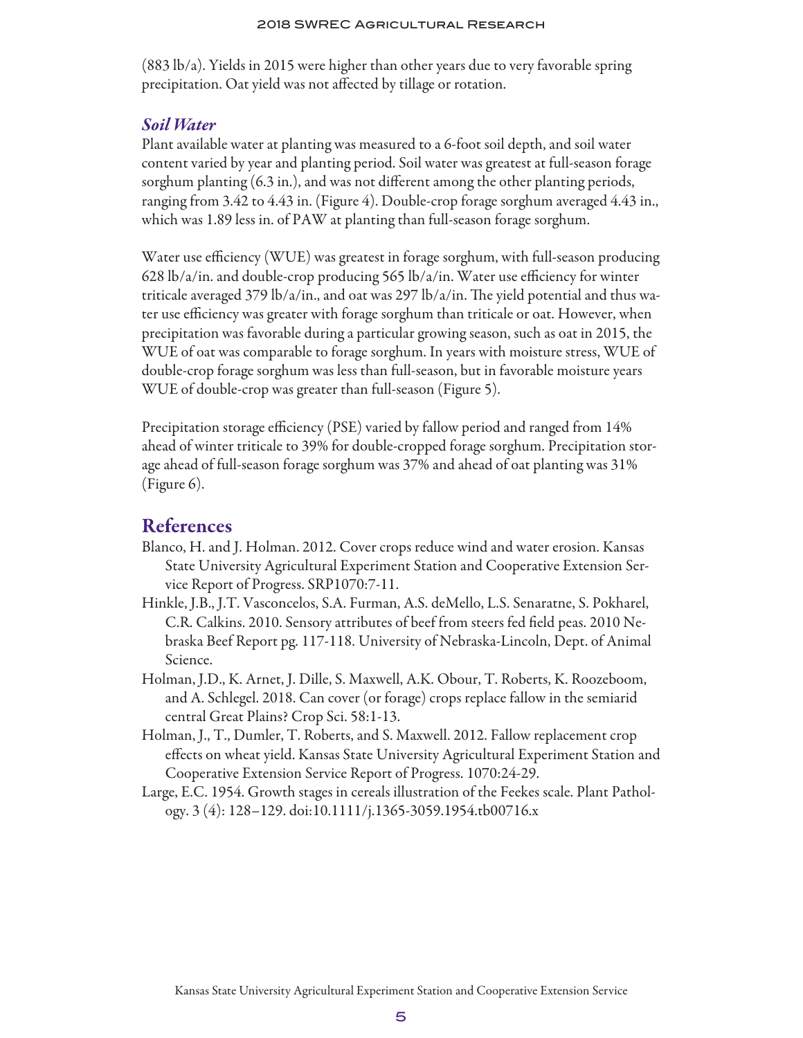#### 2018 SWREC Agricultural Research

(883 lb/a). Yields in 2015 were higher than other years due to very favorable spring precipitation. Oat yield was not affected by tillage or rotation.

#### *Soil Water*

Plant available water at planting was measured to a 6-foot soil depth, and soil water content varied by year and planting period. Soil water was greatest at full-season forage sorghum planting (6.3 in.), and was not different among the other planting periods, ranging from 3.42 to 4.43 in. (Figure 4). Double-crop forage sorghum averaged 4.43 in., which was 1.89 less in. of PAW at planting than full-season forage sorghum.

Water use efficiency (WUE) was greatest in forage sorghum, with full-season producing 628 lb/a/in. and double-crop producing 565 lb/a/in. Water use efficiency for winter triticale averaged 379 lb/a/in., and oat was 297 lb/a/in. The yield potential and thus water use efficiency was greater with forage sorghum than triticale or oat. However, when precipitation was favorable during a particular growing season, such as oat in 2015, the WUE of oat was comparable to forage sorghum. In years with moisture stress, WUE of double-crop forage sorghum was less than full-season, but in favorable moisture years WUE of double-crop was greater than full-season (Figure 5).

Precipitation storage efficiency (PSE) varied by fallow period and ranged from 14% ahead of winter triticale to 39% for double-cropped forage sorghum. Precipitation storage ahead of full-season forage sorghum was 37% and ahead of oat planting was 31% (Figure 6).

#### References

- Blanco, H. and J. Holman. 2012. Cover crops reduce wind and water erosion. Kansas State University Agricultural Experiment Station and Cooperative Extension Service Report of Progress. SRP1070:7-11.
- Hinkle, J.B., J.T. Vasconcelos, S.A. Furman, A.S. deMello, L.S. Senaratne, S. Pokharel, C.R. Calkins. 2010. Sensory attributes of beef from steers fed field peas. 2010 Nebraska Beef Report pg. 117-118. University of Nebraska-Lincoln, Dept. of Animal Science.
- Holman, J.D., K. Arnet, J. Dille, S. Maxwell, A.K. Obour, T. Roberts, K. Roozeboom, and A. Schlegel. 2018. Can cover (or forage) crops replace fallow in the semiarid central Great Plains? Crop Sci. 58:1-13.
- Holman, J., T., Dumler, T. Roberts, and S. Maxwell. 2012. Fallow replacement crop effects on wheat yield. Kansas State University Agricultural Experiment Station and Cooperative Extension Service Report of Progress. 1070:24-29.
- Large, E.C. 1954. Growth stages in cereals illustration of the Feekes scale. Plant Pathology. 3 (4): 128–129. doi:10.1111/j.1365-3059.1954.tb00716.x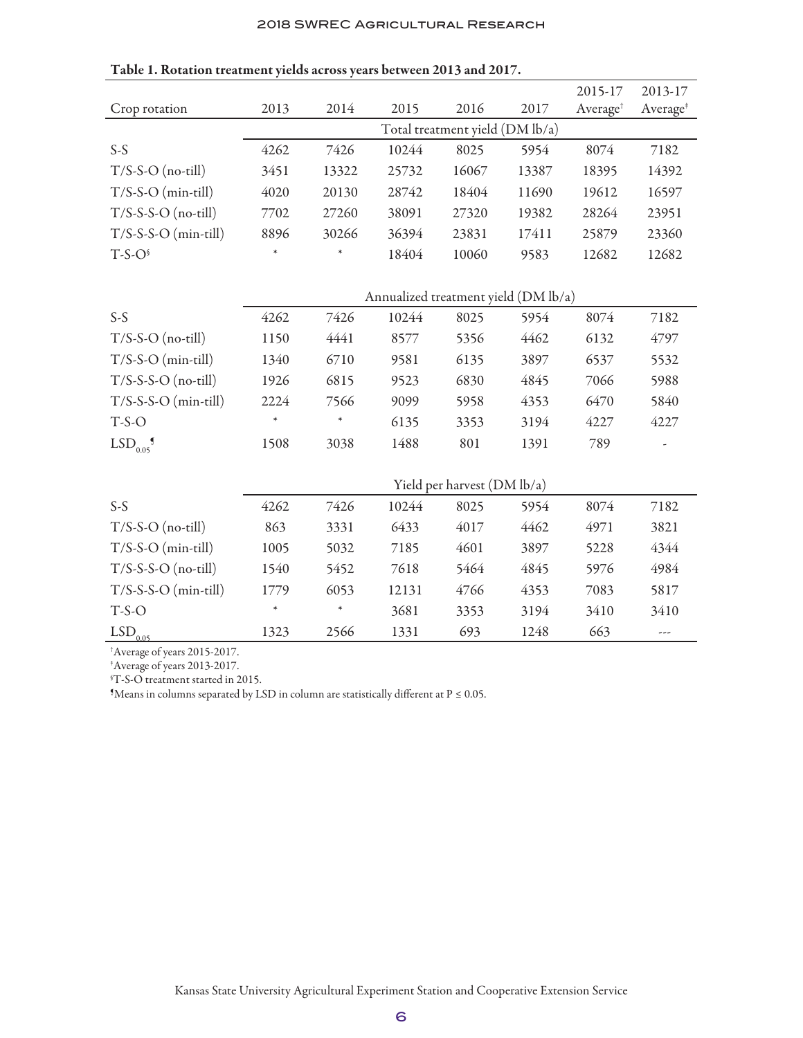#### 2018 SWREC Agricultural Research

|                        |                                      |        |       |       |       | 2015-17              | 2013-17              |
|------------------------|--------------------------------------|--------|-------|-------|-------|----------------------|----------------------|
| Crop rotation          | 2013                                 | 2014   | 2015  | 2016  | 2017  | Average <sup>†</sup> | Average <sup>*</sup> |
|                        | Total treatment yield (DM lb/a)      |        |       |       |       |                      |                      |
| $S-S$                  | 4262                                 | 7426   | 10244 | 8025  | 5954  | 8074                 | 7182                 |
| $T/S-S-O$ (no-till)    | 3451                                 | 13322  | 25732 | 16067 | 13387 | 18395                | 14392                |
| $T/S-S-O$ (min-till)   | 4020                                 | 20130  | 28742 | 18404 | 11690 | 19612                | 16597                |
| $T/S-S-S-O$ (no-till)  | 7702                                 | 27260  | 38091 | 27320 | 19382 | 28264                | 23951                |
| $T/S-S-S-O (min-till)$ | 8896                                 | 30266  | 36394 | 23831 | 17411 | 25879                | 23360                |
| $T-S-O6$               | $\ast$                               | $\ast$ | 18404 | 10060 | 9583  | 12682                | 12682                |
|                        |                                      |        |       |       |       |                      |                      |
|                        | Annualized treatment yield (DM lb/a) |        |       |       |       |                      |                      |
| $S-S$                  | 4262                                 | 7426   | 10244 | 8025  | 5954  | 8074                 | 7182                 |
| $T/S-S-O$ (no-till)    | 1150                                 | 4441   | 8577  | 5356  | 4462  | 6132                 | 4797                 |
| $T/S-S-O$ (min-till)   | 1340                                 | 6710   | 9581  | 6135  | 3897  | 6537                 | 5532                 |
| $T/S-S-S-O$ (no-till)  | 1926                                 | 6815   | 9523  | 6830  | 4845  | 7066                 | 5988                 |
| $T/S-S-S-O$ (min-till) | 2224                                 | 7566   | 9099  | 5958  | 4353  | 6470                 | 5840                 |
| $T-S-O$                | $\ast$                               | $\ast$ | 6135  | 3353  | 3194  | 4227                 | 4227                 |
| LSD <sub>0.05</sub>    | 1508                                 | 3038   | 1488  | 801   | 1391  | 789                  |                      |
|                        |                                      |        |       |       |       |                      |                      |
|                        | Yield per harvest (DM lb/a)          |        |       |       |       |                      |                      |
| $S-S$                  | 4262                                 | 7426   | 10244 | 8025  | 5954  | 8074                 | 7182                 |
| $T/S-S-O$ (no-till)    | 863                                  | 3331   | 6433  | 4017  | 4462  | 4971                 | 3821                 |
| $T/S-S-O$ (min-till)   | 1005                                 | 5032   | 7185  | 4601  | 3897  | 5228                 | 4344                 |
| $T/S-S-S-O$ (no-till)  | 1540                                 | 5452   | 7618  | 5464  | 4845  | 5976                 | 4984                 |
| $T/S-S-S-O$ (min-till) | 1779                                 | 6053   | 12131 | 4766  | 4353  | 7083                 | 5817                 |
| $T-S-O$                | $\ast$                               | $\ast$ | 3681  | 3353  | 3194  | 3410                 | 3410                 |
| $LSD$ <sub>0.05</sub>  | 1323                                 | 2566   | 1331  | 693   | 1248  | 663                  | ---                  |

Table 1. Rotation treatment yields across years between 2013 and 2017.

† Average of years 2015-2017.

‡ Average of years 2013-2017.

§ T-S-O treatment started in 2015.

 $M$ eans in columns separated by LSD in column are statistically different at  $P \le 0.05$ .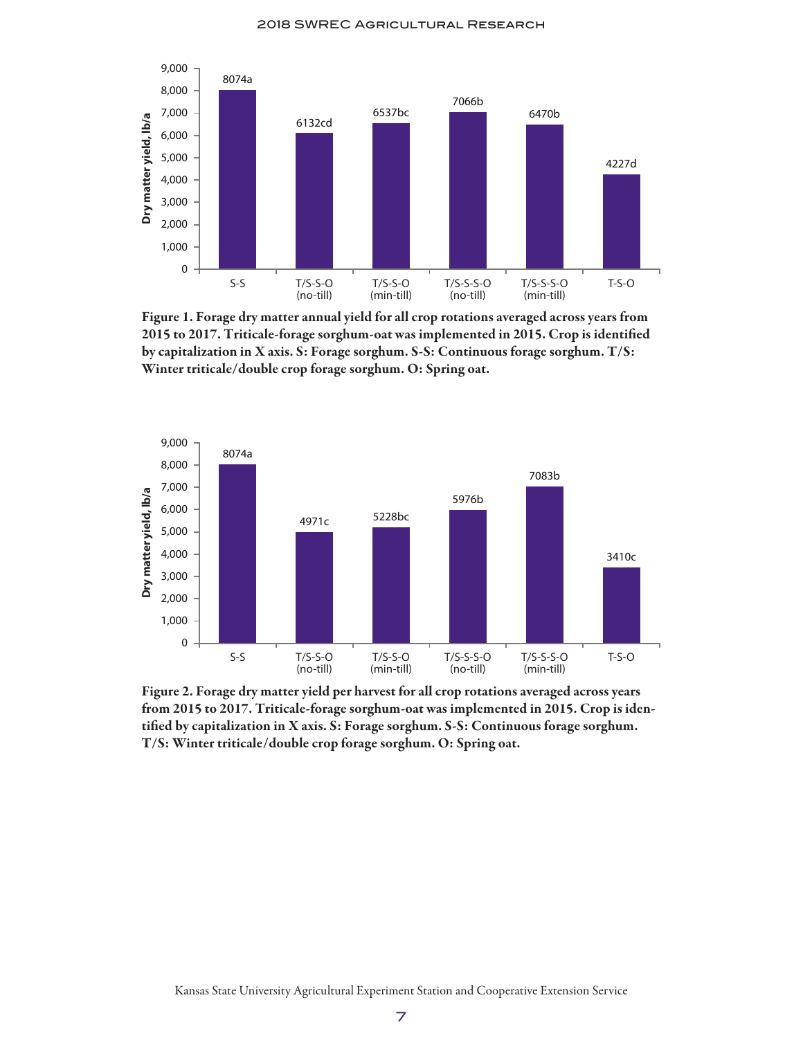

Figure 1. Forage dry matter annual yield for all crop rotations averaged across years from 2015 to 2017. Triticale-forage sorghum-oat was implemented in 2015. Crop is identified by capitalization in X axis. S: Forage sorghum. S-S: Continuous forage sorghum. T/S: Winter triticale/double crop forage sorghum. O: Spring oat.



Figure 2. Forage dry matter yield per harvest for all crop rotations averaged across years from 2015 to 2017. Triticale-forage sorghum-oat was implemented in 2015. Crop is identified by capitalization in X axis. S: Forage sorghum. S-S: Continuous forage sorghum. T/S: Winter triticale/double crop forage sorghum. O: Spring oat.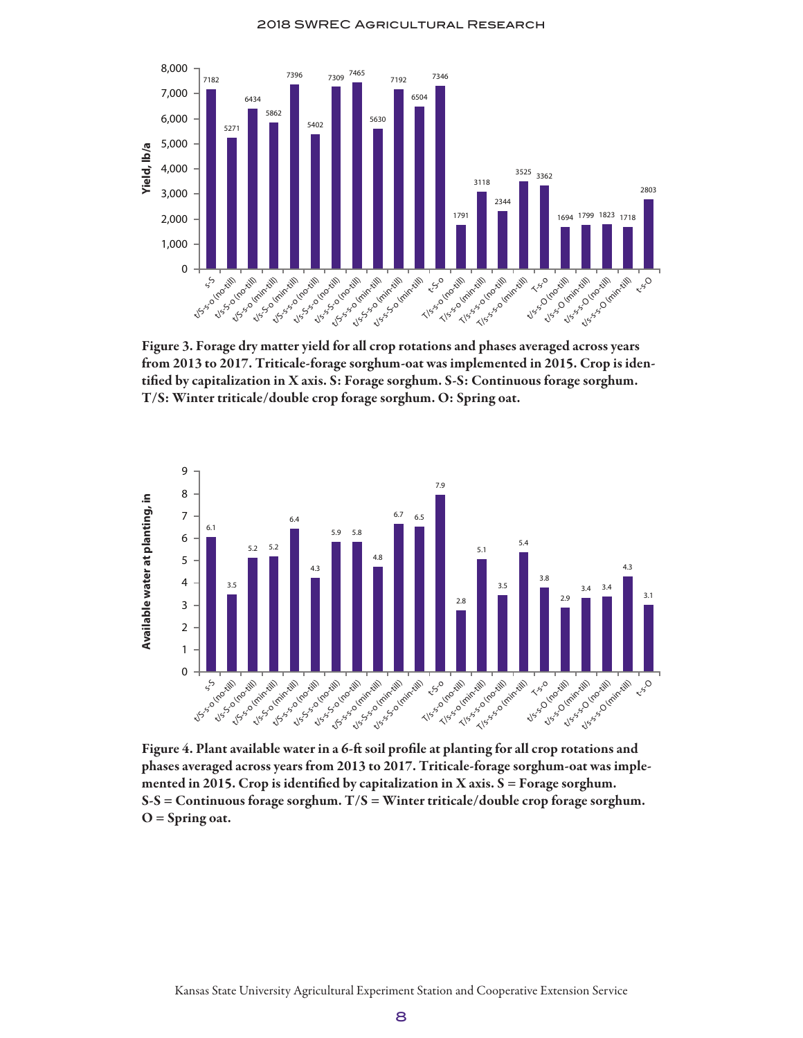

Figure 3. Forage dry matter yield for all crop rotations and phases averaged across years from 2013 to 2017. Triticale-forage sorghum-oat was implemented in 2015. Crop is identified by capitalization in X axis. S: Forage sorghum. S-S: Continuous forage sorghum. T/S: Winter triticale/double crop forage sorghum. O: Spring oat.



Figure 4. Plant available water in a 6-ft soil profile at planting for all crop rotations and phases averaged across years from 2013 to 2017. Triticale-forage sorghum-oat was implemented in 2015. Crop is identified by capitalization in X axis.  $S =$  Forage sorghum.  $S-S =$  Continuous forage sorghum.  $T/S =$  Winter triticale/double crop forage sorghum.  $O =$  Spring oat.

Kansas State University Agricultural Experiment Station and Cooperative Extension Service